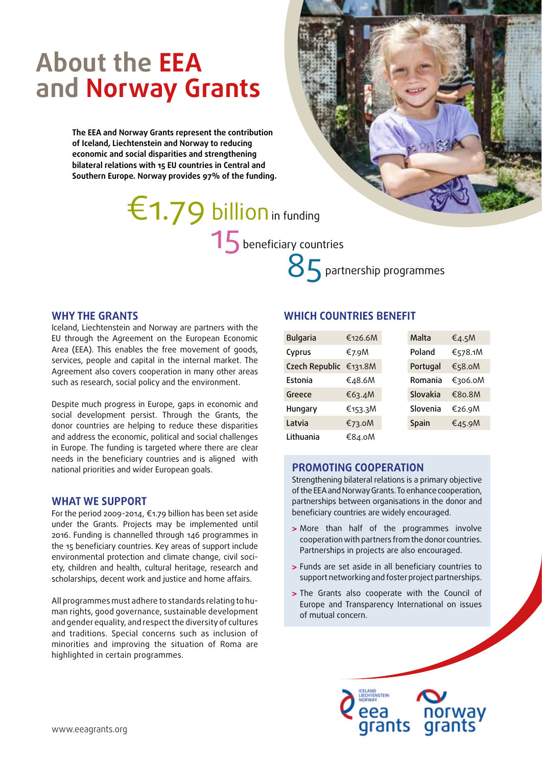# **About the EEA and Norway Grants**

**The EEA and Norway Grants represent the contribution of Iceland, Liechtenstein and Norway to reducing economic and social disparities and strengthening bilateral relations with 15 EU countries in Central and Southern Europe. Norway provides 97% of the funding.**

> 15 beneficiary countries  $£1.79$  billion in funding

85 partnership programmes

#### **WHY THE GRANTS**

Iceland, Liechtenstein and Norway are partners with the EU through the Agreement on the European Economic Area (EEA). This enables the free movement of goods, services, people and capital in the internal market. The Agreement also covers cooperation in many other areas such as research, social policy and the environment.

Despite much progress in Europe, gaps in economic and social development persist. Through the Grants, the donor countries are helping to reduce these disparities and address the economic, political and social challenges in Europe. The funding is targeted where there are clear needs in the beneficiary countries and is aligned with national priorities and wider European goals.

#### **WHAT WE SUPPORT**

For the period 2009-2014, €1.79 billion has been set aside under the Grants. Projects may be implemented until 2016. Funding is channelled through 146 programmes in the 15 beneficiary countries. Key areas of support include environmental protection and climate change, civil society, children and health, cultural heritage, research and scholarships, decent work and justice and home affairs.

All programmes must adhere to standards relating to human rights, good governance, sustainable development and gender equality, and respect the diversity of cultures and traditions. Special concerns such as inclusion of minorities and improving the situation of Roma are highlighted in certain programmes.

#### **WHICH COUNTRIES BENEFIT**

| <b>Bulgaria</b> | €126.6M | Malta    | €4.5M   |
|-----------------|---------|----------|---------|
| Cyprus          | €7.9M   | Poland   | €578.1M |
| Czech Republic  | €131.8M | Portugal | €58.0M  |
| Estonia         | €48.6M  | Romania  | €306.0М |
| Greece          | €63.4M  | Slovakia | €80.8M  |
| Hungary         | €153.3M | Slovenia | €26.9M  |
| Latvia          | €73.0M  | Spain    | €45.9M  |
| Lithuania       | €84.0M  |          |         |

#### **PROMOTING COOPERATION**

Strengthening bilateral relations is a primary objective of the EEA and Norway Grants. To enhance cooperation, partnerships between organisations in the donor and beneficiary countries are widely encouraged.

- **>** More than half of the programmes involve cooperation with partners from the donor countries. Partnerships in projects are also encouraged.
- **>** Funds are set aside in all beneficiary countries to support networking and foster project partnerships.
- **>** The Grants also cooperate with the Council of Europe and Transparency International on issues of mutual concern.